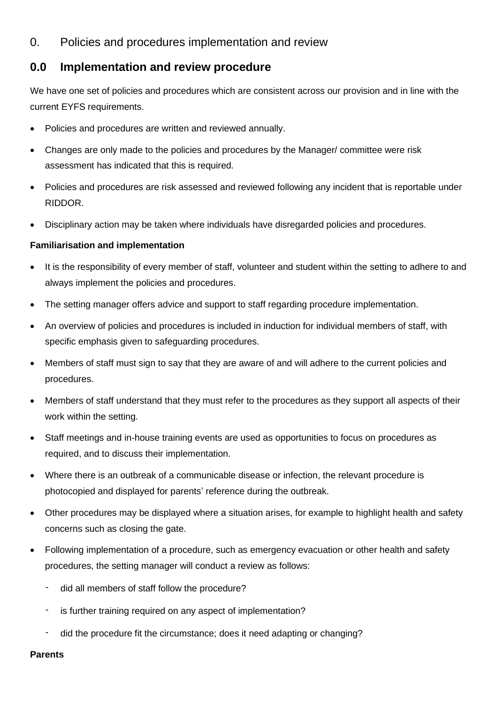## 0. Policies and procedures implementation and review

## **0.0 Implementation and review procedure**

We have one set of policies and procedures which are consistent across our provision and in line with the current EYFS requirements.

- Policies and procedures are written and reviewed annually.
- Changes are only made to the policies and procedures by the Manager/ committee were risk assessment has indicated that this is required.
- Policies and procedures are risk assessed and reviewed following any incident that is reportable under RIDDOR.
- Disciplinary action may be taken where individuals have disregarded policies and procedures.

## **Familiarisation and implementation**

- It is the responsibility of every member of staff, volunteer and student within the setting to adhere to and always implement the policies and procedures.
- The setting manager offers advice and support to staff regarding procedure implementation.
- An overview of policies and procedures is included in induction for individual members of staff, with specific emphasis given to safeguarding procedures.
- Members of staff must sign to say that they are aware of and will adhere to the current policies and procedures.
- Members of staff understand that they must refer to the procedures as they support all aspects of their work within the setting.
- Staff meetings and in-house training events are used as opportunities to focus on procedures as required, and to discuss their implementation.
- Where there is an outbreak of a communicable disease or infection, the relevant procedure is photocopied and displayed for parents' reference during the outbreak.
- Other procedures may be displayed where a situation arises, for example to highlight health and safety concerns such as closing the gate.
- Following implementation of a procedure, such as emergency evacuation or other health and safety procedures, the setting manager will conduct a review as follows:
	- did all members of staff follow the procedure?
	- is further training required on any aspect of implementation?
	- did the procedure fit the circumstance; does it need adapting or changing?

**Parents**